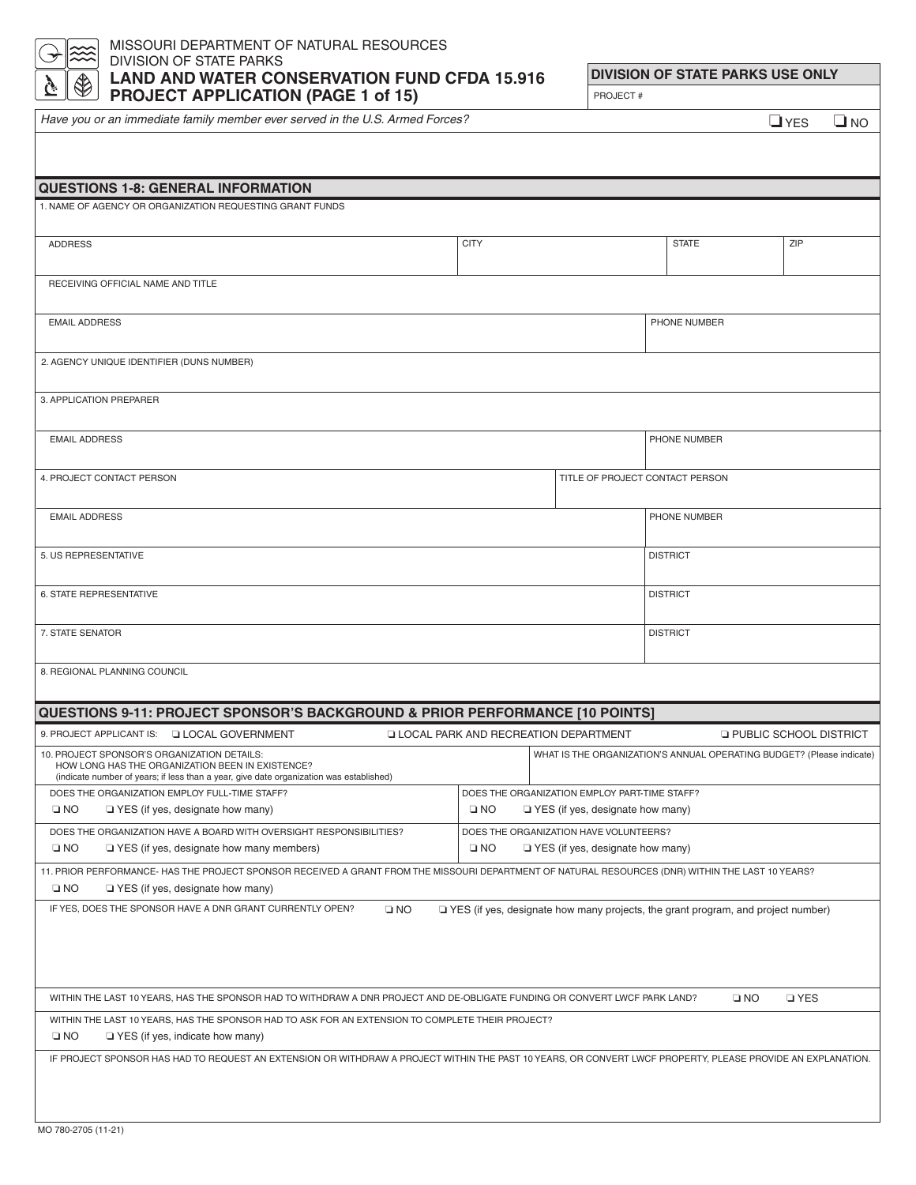#### MISSOURI DEPARTMENT OF NATURAL RESOURCES DIVISION OF STATE PARKS **LAND AND WATER CONSERVATION FUND CFDA 15.916 PROJECT APPLICATION (PAGE 1 of 15)**

**DIVISION OF STATE PARKS USE ONLY** PROJECT #

*Have you or an immediate family member ever served in the U.S. Armed Forces?*

❏ YES ❏ NO

| <b>QUESTIONS 1-8: GENERAL INFORMATION</b>                                                                                                                                                                                                   |                                             |                                               |                                                                                    |                                 |  |
|---------------------------------------------------------------------------------------------------------------------------------------------------------------------------------------------------------------------------------------------|---------------------------------------------|-----------------------------------------------|------------------------------------------------------------------------------------|---------------------------------|--|
| 1. NAME OF AGENCY OR ORGANIZATION REQUESTING GRANT FUNDS                                                                                                                                                                                    |                                             |                                               |                                                                                    |                                 |  |
| <b>ADDRESS</b>                                                                                                                                                                                                                              | <b>CITY</b>                                 |                                               | <b>STATE</b>                                                                       | ZIP                             |  |
| RECEIVING OFFICIAL NAME AND TITLE                                                                                                                                                                                                           |                                             |                                               |                                                                                    |                                 |  |
| <b>EMAIL ADDRESS</b>                                                                                                                                                                                                                        |                                             |                                               | PHONE NUMBER                                                                       |                                 |  |
| 2. AGENCY UNIQUE IDENTIFIER (DUNS NUMBER)                                                                                                                                                                                                   |                                             |                                               |                                                                                    |                                 |  |
| 3. APPLICATION PREPARER                                                                                                                                                                                                                     |                                             |                                               |                                                                                    |                                 |  |
| <b>EMAIL ADDRESS</b>                                                                                                                                                                                                                        |                                             |                                               | PHONE NUMBER                                                                       |                                 |  |
| 4. PROJECT CONTACT PERSON                                                                                                                                                                                                                   |                                             | TITLE OF PROJECT CONTACT PERSON               |                                                                                    |                                 |  |
| <b>EMAIL ADDRESS</b>                                                                                                                                                                                                                        |                                             |                                               | PHONE NUMBER                                                                       |                                 |  |
| 5. US REPRESENTATIVE                                                                                                                                                                                                                        |                                             |                                               | <b>DISTRICT</b>                                                                    |                                 |  |
| 6. STATE REPRESENTATIVE                                                                                                                                                                                                                     |                                             |                                               | <b>DISTRICT</b>                                                                    |                                 |  |
| 7. STATE SENATOR                                                                                                                                                                                                                            |                                             |                                               | <b>DISTRICT</b>                                                                    |                                 |  |
| 8. REGIONAL PLANNING COUNCIL                                                                                                                                                                                                                |                                             |                                               |                                                                                    |                                 |  |
| <b>QUESTIONS 9-11: PROJECT SPONSOR'S BACKGROUND &amp; PRIOR PERFORMANCE [10 POINTS]</b>                                                                                                                                                     |                                             |                                               |                                                                                    |                                 |  |
|                                                                                                                                                                                                                                             |                                             |                                               |                                                                                    |                                 |  |
| 9. PROJECT APPLICANT IS: J LOCAL GOVERNMENT                                                                                                                                                                                                 | <b>LOCAL PARK AND RECREATION DEPARTMENT</b> |                                               |                                                                                    | <b>Q PUBLIC SCHOOL DISTRICT</b> |  |
| 10. PROJECT SPONSOR'S ORGANIZATION DETAILS:<br>HOW LONG HAS THE ORGANIZATION BEEN IN EXISTENCE?<br>(indicate number of years; if less than a year, give date organization was established)                                                  |                                             |                                               | WHAT IS THE ORGANIZATION'S ANNUAL OPERATING BUDGET? (Please indicate)              |                                 |  |
| DOES THE ORGANIZATION EMPLOY FULL-TIME STAFF?                                                                                                                                                                                               |                                             | DOES THE ORGANIZATION EMPLOY PART-TIME STAFF? |                                                                                    |                                 |  |
| $\square$ NO<br>$\Box$ YES (if yes, designate how many)                                                                                                                                                                                     | $\square$ NO                                | $\Box$ YES (if yes, designate how many)       |                                                                                    |                                 |  |
| DOES THE ORGANIZATION HAVE A BOARD WITH OVERSIGHT RESPONSIBILITIES?<br>DOES THE ORGANIZATION HAVE VOLUNTEERS?<br>$\square$ NO<br>$\Box$ YES (if yes, designate how many members)<br>$\square$ NO<br>$\Box$ YES (if yes, designate how many) |                                             |                                               |                                                                                    |                                 |  |
| 11. PRIOR PERFORMANCE- HAS THE PROJECT SPONSOR RECEIVED A GRANT FROM THE MISSOURI DEPARTMENT OF NATURAL RESOURCES (DNR) WITHIN THE LAST 10 YEARS?<br>$\square$ NO<br>$\Box$ YES (if yes, designate how many)                                |                                             |                                               |                                                                                    |                                 |  |
| IF YES, DOES THE SPONSOR HAVE A DNR GRANT CURRENTLY OPEN?<br>$\square$ NO                                                                                                                                                                   |                                             |                                               | □ YES (if yes, designate how many projects, the grant program, and project number) |                                 |  |
|                                                                                                                                                                                                                                             |                                             |                                               |                                                                                    |                                 |  |
|                                                                                                                                                                                                                                             |                                             |                                               |                                                                                    |                                 |  |
| WITHIN THE LAST 10 YEARS, HAS THE SPONSOR HAD TO WITHDRAW A DNR PROJECT AND DE-OBLIGATE FUNDING OR CONVERT LWCF PARK LAND?                                                                                                                  |                                             |                                               | $\square$ NO                                                                       | <b>D</b> YES                    |  |
| WITHIN THE LAST 10 YEARS, HAS THE SPONSOR HAD TO ASK FOR AN EXTENSION TO COMPLETE THEIR PROJECT?<br>$\square$ NO<br>$\Box$ YES (if yes, indicate how many)                                                                                  |                                             |                                               |                                                                                    |                                 |  |
| IF PROJECT SPONSOR HAS HAD TO REQUEST AN EXTENSION OR WITHDRAW A PROJECT WITHIN THE PAST 10 YEARS, OR CONVERT LWCF PROPERTY, PLEASE PROVIDE AN EXPLANATION.                                                                                 |                                             |                                               |                                                                                    |                                 |  |
|                                                                                                                                                                                                                                             |                                             |                                               |                                                                                    |                                 |  |
| MO 780-2705 (11-21)                                                                                                                                                                                                                         |                                             |                                               |                                                                                    |                                 |  |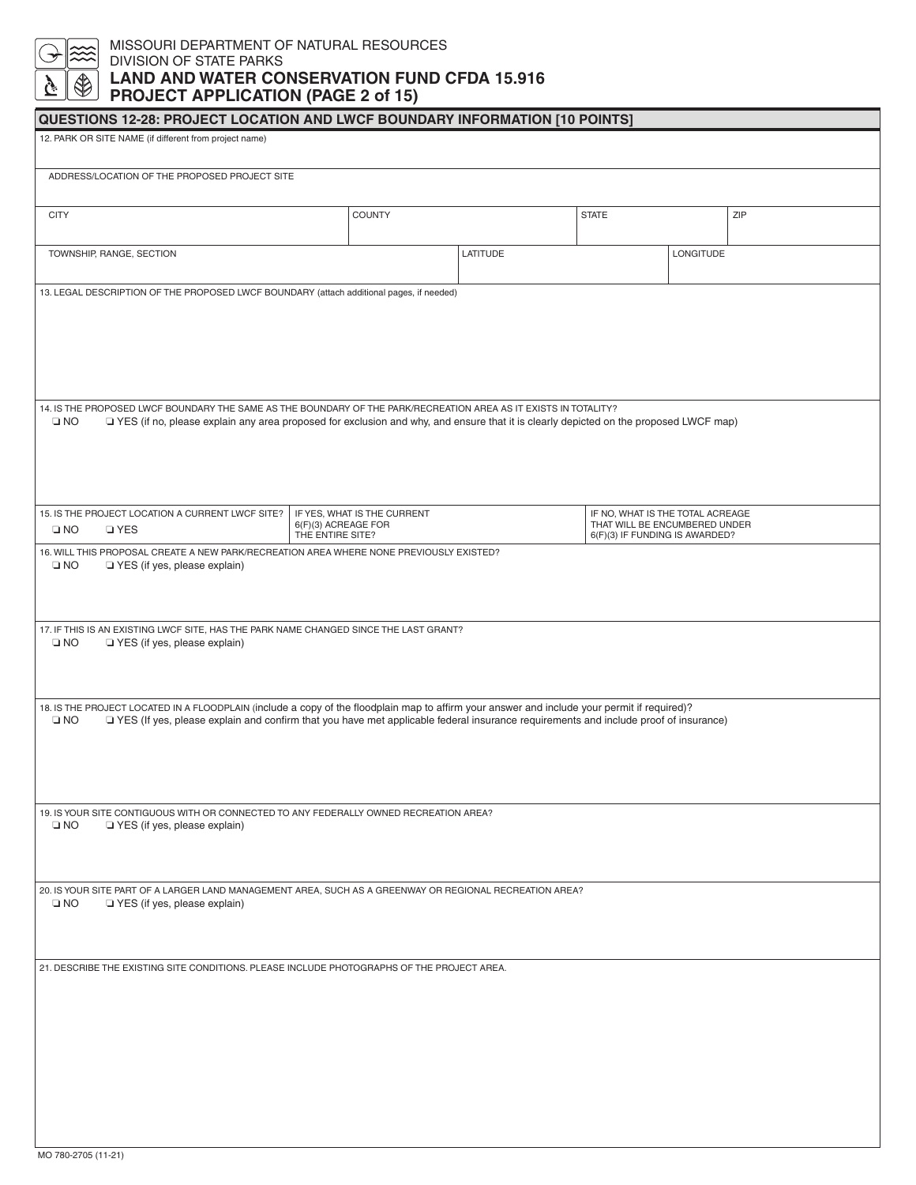## MISSOURI DEPARTMENT OF NATURAL RESOURCES DIVISION OF STATE PARKS **LAND AND WATER CONSERVATION FUND CFDA 15.916 PROJECT APPLICATION (PAGE 2 of 15)**

| <b>QUESTIONS 12-28: PROJECT LOCATION AND LWCF BOUNDARY INFORMATION [10 POINTS]</b>                                                                                                                                                                                                                   |                                                                        |          |                                                                                                     |           |     |
|------------------------------------------------------------------------------------------------------------------------------------------------------------------------------------------------------------------------------------------------------------------------------------------------------|------------------------------------------------------------------------|----------|-----------------------------------------------------------------------------------------------------|-----------|-----|
| 12. PARK OR SITE NAME (if different from project name)                                                                                                                                                                                                                                               |                                                                        |          |                                                                                                     |           |     |
| ADDRESS/LOCATION OF THE PROPOSED PROJECT SITE                                                                                                                                                                                                                                                        |                                                                        |          |                                                                                                     |           |     |
| <b>CITY</b>                                                                                                                                                                                                                                                                                          | COUNTY                                                                 |          | <b>STATE</b>                                                                                        |           | ZIP |
| TOWNSHIP, RANGE, SECTION                                                                                                                                                                                                                                                                             |                                                                        | LATITUDE |                                                                                                     | LONGITUDE |     |
| 13. LEGAL DESCRIPTION OF THE PROPOSED LWCF BOUNDARY (attach additional pages, if needed)                                                                                                                                                                                                             |                                                                        |          |                                                                                                     |           |     |
| 14. IS THE PROPOSED LWCF BOUNDARY THE SAME AS THE BOUNDARY OF THE PARK/RECREATION AREA AS IT EXISTS IN TOTALITY?<br>$\square$ NO<br>TYES (if no, please explain any area proposed for exclusion and why, and ensure that it is clearly depicted on the proposed LWCF map)                            |                                                                        |          |                                                                                                     |           |     |
| 15. IS THE PROJECT LOCATION A CURRENT LWCF SITE?<br>$\square$ NO<br><b>D</b> YES                                                                                                                                                                                                                     | IF YES, WHAT IS THE CURRENT<br>6(F)(3) ACREAGE FOR<br>THE ENTIRE SITE? |          | IF NO, WHAT IS THE TOTAL ACREAGE<br>THAT WILL BE ENCUMBERED UNDER<br>6(F)(3) IF FUNDING IS AWARDED? |           |     |
| 16. WILL THIS PROPOSAL CREATE A NEW PARK/RECREATION AREA WHERE NONE PREVIOUSLY EXISTED?<br>$\square$ NO<br>YES (if yes, please explain)                                                                                                                                                              |                                                                        |          |                                                                                                     |           |     |
| 17. IF THIS IS AN EXISTING LWCF SITE, HAS THE PARK NAME CHANGED SINCE THE LAST GRANT?<br>$\square$ NO<br>YES (if yes, please explain)                                                                                                                                                                |                                                                        |          |                                                                                                     |           |     |
| 18. IS THE PROJECT LOCATED IN A FLOODPLAIN (include a copy of the floodplain map to affirm your answer and include your permit if required)?<br>TYES (If yes, please explain and confirm that you have met applicable federal insurance requirements and include proof of insurance)<br>$\square$ NO |                                                                        |          |                                                                                                     |           |     |
| 19. IS YOUR SITE CONTIGUOUS WITH OR CONNECTED TO ANY FEDERALLY OWNED RECREATION AREA?<br>$\square$ NO<br>YES (if yes, please explain)                                                                                                                                                                |                                                                        |          |                                                                                                     |           |     |
| 20. IS YOUR SITE PART OF A LARGER LAND MANAGEMENT AREA, SUCH AS A GREENWAY OR REGIONAL RECREATION AREA?<br>$\square$ NO<br>YES (if yes, please explain)                                                                                                                                              |                                                                        |          |                                                                                                     |           |     |
| 21. DESCRIBE THE EXISTING SITE CONDITIONS. PLEASE INCLUDE PHOTOGRAPHS OF THE PROJECT AREA.                                                                                                                                                                                                           |                                                                        |          |                                                                                                     |           |     |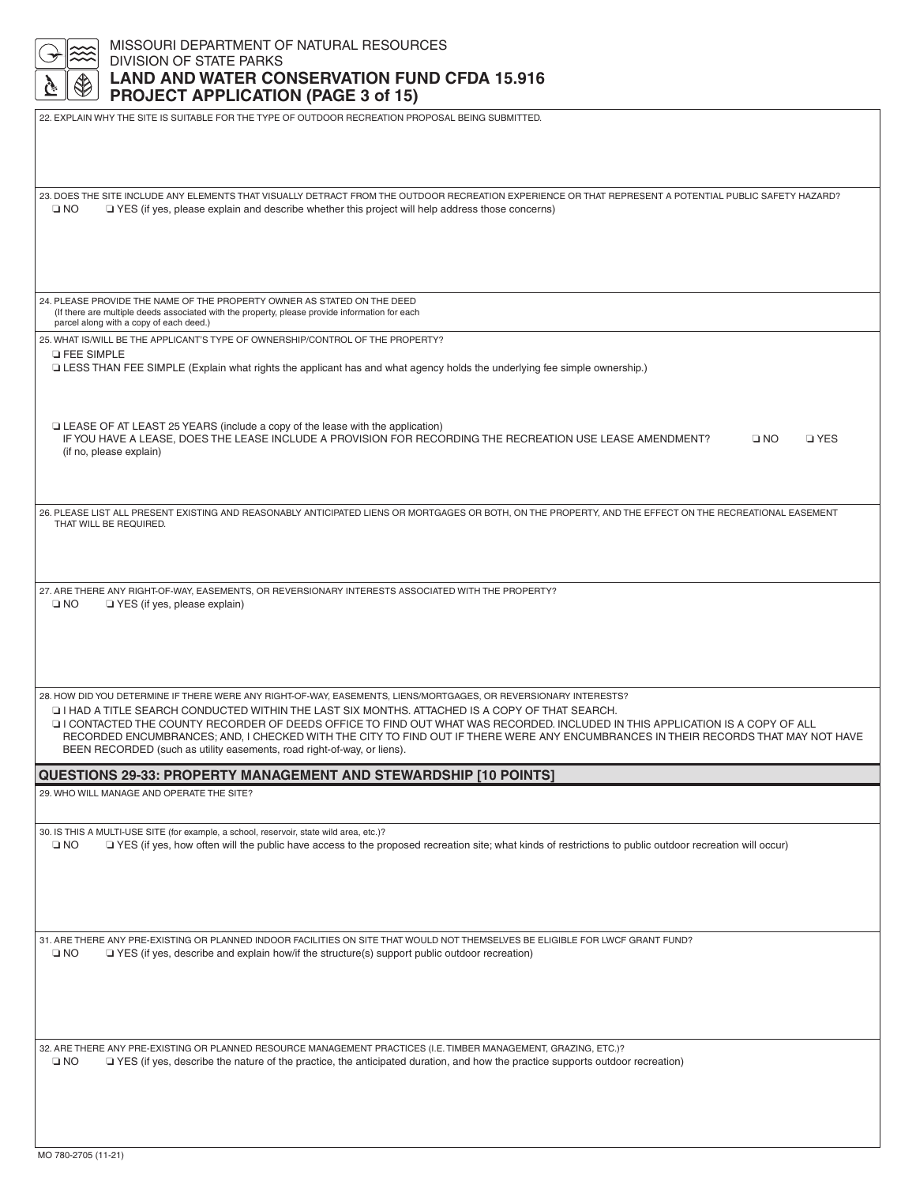| MISSOURI DEPARTMENT OF NATURAL RESOURCES                                                                                                                                                                                                                            |
|---------------------------------------------------------------------------------------------------------------------------------------------------------------------------------------------------------------------------------------------------------------------|
| <b>DIVISION OF STATE PARKS</b><br><b>LAND AND WATER CONSERVATION FUND CFDA 15.916</b>                                                                                                                                                                               |
| <b>PROJECT APPLICATION (PAGE 3 of 15)</b>                                                                                                                                                                                                                           |
| 22. EXPLAIN WHY THE SITE IS SUITABLE FOR THE TYPE OF OUTDOOR RECREATION PROPOSAL BEING SUBMITTED.                                                                                                                                                                   |
|                                                                                                                                                                                                                                                                     |
|                                                                                                                                                                                                                                                                     |
|                                                                                                                                                                                                                                                                     |
| 23. DOES THE SITE INCLUDE ANY ELEMENTS THAT VISUALLY DETRACT FROM THE OUTDOOR RECREATION EXPERIENCE OR THAT REPRESENT A POTENTIAL PUBLIC SAFETY HAZARD?                                                                                                             |
| $\square$ NO<br>□ YES (if yes, please explain and describe whether this project will help address those concerns)                                                                                                                                                   |
|                                                                                                                                                                                                                                                                     |
|                                                                                                                                                                                                                                                                     |
|                                                                                                                                                                                                                                                                     |
|                                                                                                                                                                                                                                                                     |
| 24. PLEASE PROVIDE THE NAME OF THE PROPERTY OWNER AS STATED ON THE DEED                                                                                                                                                                                             |
| (If there are multiple deeds associated with the property, please provide information for each<br>parcel along with a copy of each deed.)                                                                                                                           |
| 25. WHAT IS/WILL BE THE APPLICANT'S TYPE OF OWNERSHIP/CONTROL OF THE PROPERTY?                                                                                                                                                                                      |
| <b>D FEE SIMPLE</b>                                                                                                                                                                                                                                                 |
| LESS THAN FEE SIMPLE (Explain what rights the applicant has and what agency holds the underlying fee simple ownership.)                                                                                                                                             |
|                                                                                                                                                                                                                                                                     |
|                                                                                                                                                                                                                                                                     |
| LEASE OF AT LEAST 25 YEARS (include a copy of the lease with the application)<br>IF YOU HAVE A LEASE, DOES THE LEASE INCLUDE A PROVISION FOR RECORDING THE RECREATION USE LEASE AMENDMENT?<br>$\square$ NO<br><b>D</b> YES                                          |
| (if no, please explain)                                                                                                                                                                                                                                             |
|                                                                                                                                                                                                                                                                     |
|                                                                                                                                                                                                                                                                     |
| 26. PLEASE LIST ALL PRESENT EXISTING AND REASONABLY ANTICIPATED LIENS OR MORTGAGES OR BOTH, ON THE PROPERTY, AND THE EFFECT ON THE RECREATIONAL EASEMENT                                                                                                            |
| THAT WILL BE REQUIRED.                                                                                                                                                                                                                                              |
|                                                                                                                                                                                                                                                                     |
|                                                                                                                                                                                                                                                                     |
| 27. ARE THERE ANY RIGHT-OF-WAY, EASEMENTS, OR REVERSIONARY INTERESTS ASSOCIATED WITH THE PROPERTY?                                                                                                                                                                  |
| $\square$ NO<br>$\Box$ YES (if yes, please explain)                                                                                                                                                                                                                 |
|                                                                                                                                                                                                                                                                     |
|                                                                                                                                                                                                                                                                     |
|                                                                                                                                                                                                                                                                     |
|                                                                                                                                                                                                                                                                     |
| 28. HOW DID YOU DETERMINE IF THERE WERE ANY RIGHT-OF-WAY, EASEMENTS, LIENS/MORTGAGES, OR REVERSIONARY INTERESTS?                                                                                                                                                    |
| LI HAD A TITLE SEARCH CONDUCTED WITHIN THE LAST SIX MONTHS. ATTACHED IS A COPY OF THAT SEARCH. ا⊑                                                                                                                                                                   |
| I CONTACTED THE COUNTY RECORDER OF DEEDS OFFICE TO FIND OUT WHAT WAS RECORDED. INCLUDED IN THIS APPLICATION IS A COPY OF ALL<br>RECORDED ENCUMBRANCES: AND. I CHECKED WITH THE CITY TO FIND OUT IF THERE WERE ANY ENCUMBRANCES IN THEIR RECORDS THAT MAY NOT HAVE   |
| BEEN RECORDED (such as utility easements, road right-of-way, or liens).                                                                                                                                                                                             |
| QUESTIONS 29-33: PROPERTY MANAGEMENT AND STEWARDSHIP [10 POINTS]                                                                                                                                                                                                    |
| 29. WHO WILL MANAGE AND OPERATE THE SITE?                                                                                                                                                                                                                           |
|                                                                                                                                                                                                                                                                     |
| 30. IS THIS A MULTI-USE SITE (for example, a school, reservoir, state wild area, etc.)?                                                                                                                                                                             |
| $\square$ NO<br>□ YES (if yes, how often will the public have access to the proposed recreation site; what kinds of restrictions to public outdoor recreation will occur)                                                                                           |
|                                                                                                                                                                                                                                                                     |
|                                                                                                                                                                                                                                                                     |
|                                                                                                                                                                                                                                                                     |
|                                                                                                                                                                                                                                                                     |
| 31. ARE THERE ANY PRE-EXISTING OR PLANNED INDOOR FACILITIES ON SITE THAT WOULD NOT THEMSELVES BE ELIGIBLE FOR LWCF GRANT FUND?                                                                                                                                      |
| $\square$ NO<br>$\Box$ YES (if yes, describe and explain how/if the structure(s) support public outdoor recreation)                                                                                                                                                 |
|                                                                                                                                                                                                                                                                     |
|                                                                                                                                                                                                                                                                     |
|                                                                                                                                                                                                                                                                     |
|                                                                                                                                                                                                                                                                     |
| 32. ARE THERE ANY PRE-EXISTING OR PLANNED RESOURCE MANAGEMENT PRACTICES (I.E. TIMBER MANAGEMENT, GRAZING, ETC.)?<br>$\square$ NO<br>□ YES (if yes, describe the nature of the practice, the anticipated duration, and how the practice supports outdoor recreation) |
|                                                                                                                                                                                                                                                                     |
|                                                                                                                                                                                                                                                                     |
|                                                                                                                                                                                                                                                                     |
|                                                                                                                                                                                                                                                                     |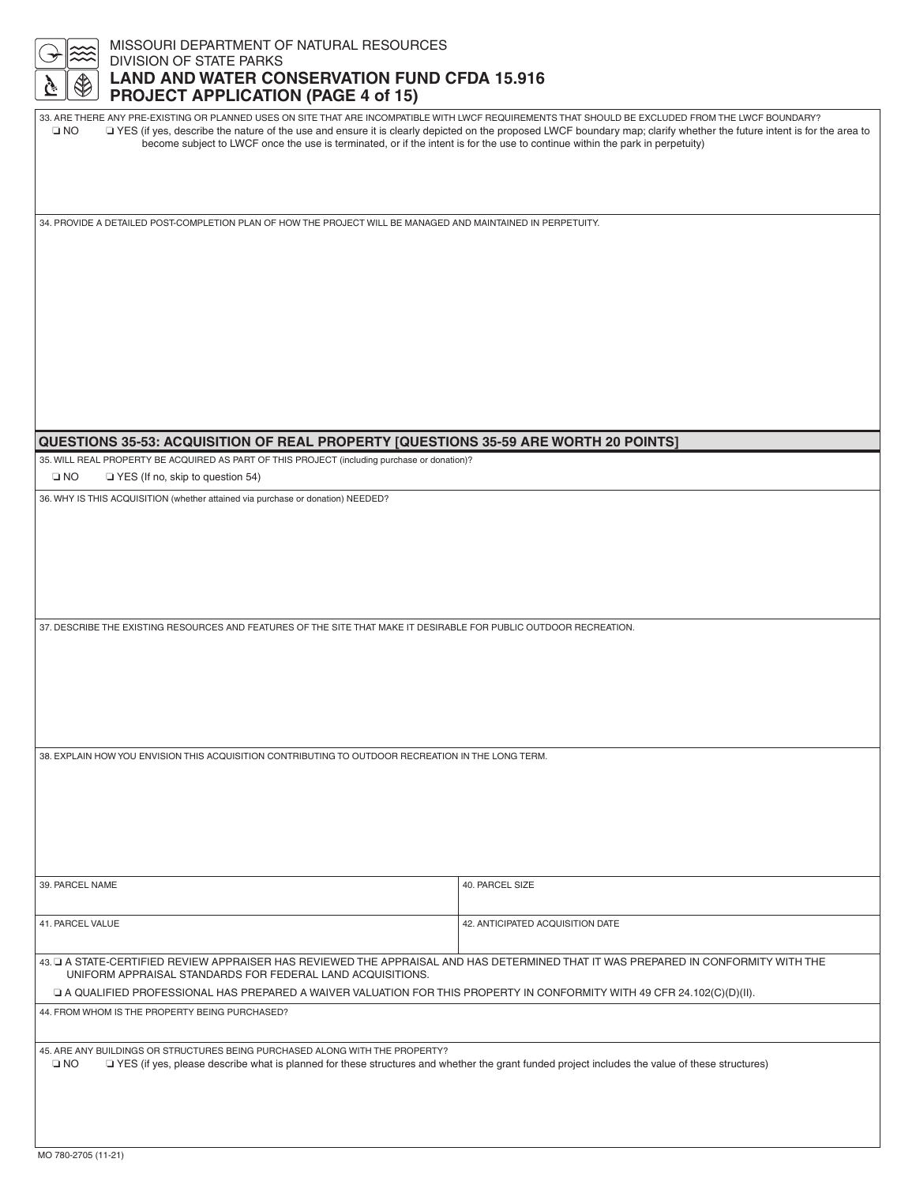| MISSOURI DEPARTMENT OF NATURAL RESOURCES<br>▒                                                                                                                                                                                                   |                                                                                                                                                                                     |                                                                                                                                                                                                                                                                                                                                |  |  |  |
|-------------------------------------------------------------------------------------------------------------------------------------------------------------------------------------------------------------------------------------------------|-------------------------------------------------------------------------------------------------------------------------------------------------------------------------------------|--------------------------------------------------------------------------------------------------------------------------------------------------------------------------------------------------------------------------------------------------------------------------------------------------------------------------------|--|--|--|
|                                                                                                                                                                                                                                                 | <b>DIVISION OF STATE PARKS</b><br><b>LAND AND WATER CONSERVATION FUND CFDA 15.916</b>                                                                                               |                                                                                                                                                                                                                                                                                                                                |  |  |  |
|                                                                                                                                                                                                                                                 | <b>PROJECT APPLICATION (PAGE 4 of 15)</b>                                                                                                                                           |                                                                                                                                                                                                                                                                                                                                |  |  |  |
| $\square$ NO                                                                                                                                                                                                                                    | become subject to LWCF once the use is terminated, or if the intent is for the use to continue within the park in perpetuity)                                                       | 33. ARE THERE ANY PRE-EXISTING OR PLANNED USES ON SITE THAT ARE INCOMPATIBLE WITH LWCF REQUIREMENTS THAT SHOULD BE EXCLUDED FROM THE LWCF BOUNDARY?<br>T YES (if yes, describe the nature of the use and ensure it is clearly depicted on the proposed LWCF boundary map; clarify whether the future intent is for the area to |  |  |  |
|                                                                                                                                                                                                                                                 | 34. PROVIDE A DETAILED POST-COMPLETION PLAN OF HOW THE PROJECT WILL BE MANAGED AND MAINTAINED IN PERPETUITY.                                                                        |                                                                                                                                                                                                                                                                                                                                |  |  |  |
|                                                                                                                                                                                                                                                 |                                                                                                                                                                                     |                                                                                                                                                                                                                                                                                                                                |  |  |  |
|                                                                                                                                                                                                                                                 |                                                                                                                                                                                     |                                                                                                                                                                                                                                                                                                                                |  |  |  |
|                                                                                                                                                                                                                                                 | QUESTIONS 35-53: ACQUISITION OF REAL PROPERTY [QUESTIONS 35-59 ARE WORTH 20 POINTS]<br>35. WILL REAL PROPERTY BE ACQUIRED AS PART OF THIS PROJECT (including purchase or donation)? |                                                                                                                                                                                                                                                                                                                                |  |  |  |
| $\square$ NO                                                                                                                                                                                                                                    | YES (If no, skip to question 54)                                                                                                                                                    |                                                                                                                                                                                                                                                                                                                                |  |  |  |
|                                                                                                                                                                                                                                                 | 36. WHY IS THIS ACQUISITION (whether attained via purchase or donation) NEEDED?                                                                                                     |                                                                                                                                                                                                                                                                                                                                |  |  |  |
|                                                                                                                                                                                                                                                 |                                                                                                                                                                                     |                                                                                                                                                                                                                                                                                                                                |  |  |  |
|                                                                                                                                                                                                                                                 | 37. DESCRIBE THE EXISTING RESOURCES AND FEATURES OF THE SITE THAT MAKE IT DESIRABLE FOR PUBLIC OUTDOOR RECREATION.                                                                  |                                                                                                                                                                                                                                                                                                                                |  |  |  |
|                                                                                                                                                                                                                                                 |                                                                                                                                                                                     |                                                                                                                                                                                                                                                                                                                                |  |  |  |
|                                                                                                                                                                                                                                                 | 38. EXPLAIN HOW YOU ENVISION THIS ACQUISITION CONTRIBUTING TO OUTDOOR RECREATION IN THE LONG TERM.                                                                                  |                                                                                                                                                                                                                                                                                                                                |  |  |  |
|                                                                                                                                                                                                                                                 |                                                                                                                                                                                     |                                                                                                                                                                                                                                                                                                                                |  |  |  |
| 39. PARCEL NAME                                                                                                                                                                                                                                 |                                                                                                                                                                                     | 40. PARCEL SIZE                                                                                                                                                                                                                                                                                                                |  |  |  |
| 41. PARCEL VALUE                                                                                                                                                                                                                                |                                                                                                                                                                                     | 42. ANTICIPATED ACQUISITION DATE                                                                                                                                                                                                                                                                                               |  |  |  |
| 43. LI A STATE-CERTIFIED REVIEW APPRAISER HAS REVIEWED THE APPRAISAL AND HAS DETERMINED THAT IT WAS PREPARED IN CONFORMITY WITH THE<br>UNIFORM APPRAISAL STANDARDS FOR FEDERAL LAND ACQUISITIONS.                                               |                                                                                                                                                                                     |                                                                                                                                                                                                                                                                                                                                |  |  |  |
| □ A QUALIFIED PROFESSIONAL HAS PREPARED A WAIVER VALUATION FOR THIS PROPERTY IN CONFORMITY WITH 49 CFR 24.102(C)(D)(II).<br>44. FROM WHOM IS THE PROPERTY BEING PURCHASED?                                                                      |                                                                                                                                                                                     |                                                                                                                                                                                                                                                                                                                                |  |  |  |
|                                                                                                                                                                                                                                                 |                                                                                                                                                                                     |                                                                                                                                                                                                                                                                                                                                |  |  |  |
| 45. ARE ANY BUILDINGS OR STRUCTURES BEING PURCHASED ALONG WITH THE PROPERTY?<br>TYES (if yes, please describe what is planned for these structures and whether the grant funded project includes the value of these structures)<br>$\square$ NO |                                                                                                                                                                                     |                                                                                                                                                                                                                                                                                                                                |  |  |  |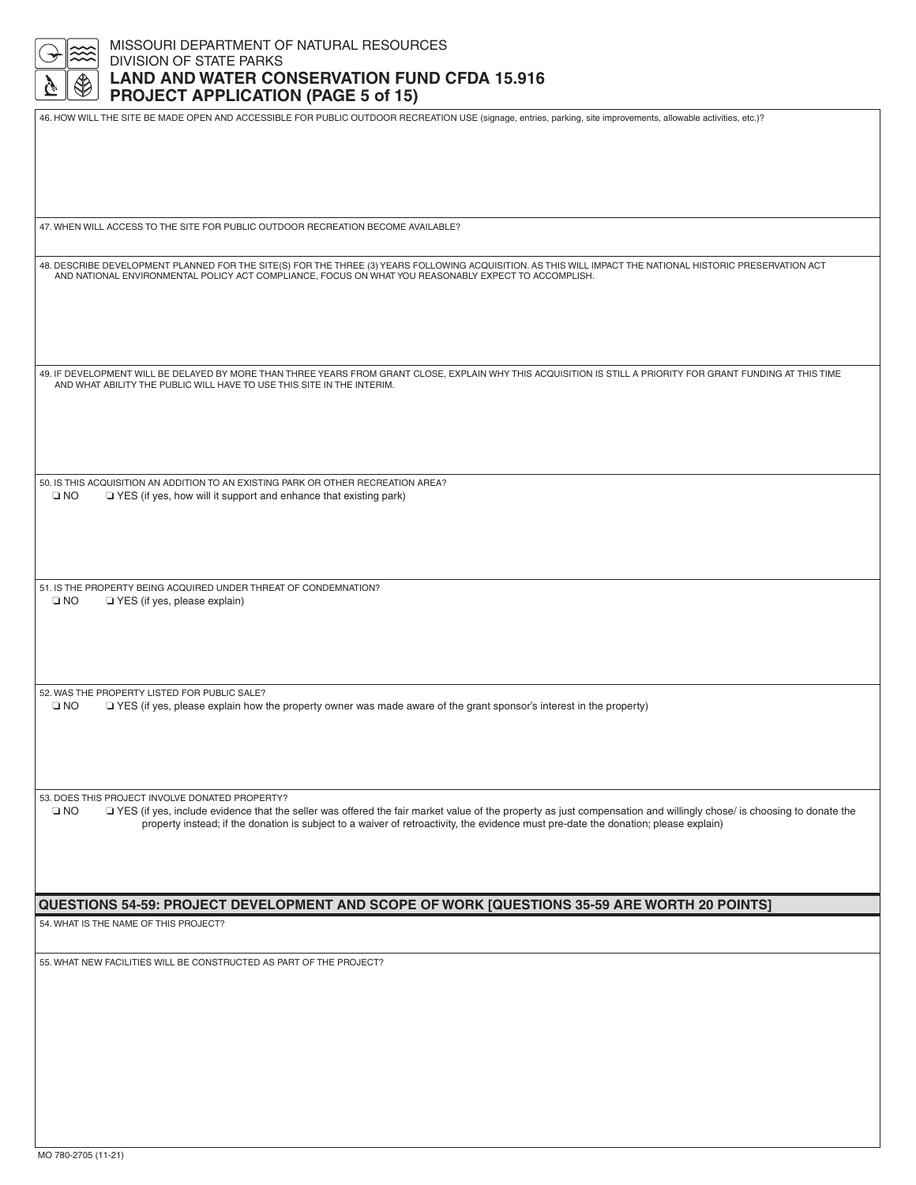| <b>DIVISION OF STATE PARKS</b><br><b>LAND AND WATER CONSERVATION FUND CFDA 15.916</b><br><b>PROJECT APPLICATION (PAGE 5 of 15)</b><br>46. HOW WILL THE SITE BE MADE OPEN AND ACCESSIBLE FOR PUBLIC OUTDOOR RECREATION USE (signage, entries, parking, site improvements, allowable activities, etc.)? |
|-------------------------------------------------------------------------------------------------------------------------------------------------------------------------------------------------------------------------------------------------------------------------------------------------------|
|                                                                                                                                                                                                                                                                                                       |
|                                                                                                                                                                                                                                                                                                       |
|                                                                                                                                                                                                                                                                                                       |
|                                                                                                                                                                                                                                                                                                       |
| 47. WHEN WILL ACCESS TO THE SITE FOR PUBLIC OUTDOOR RECREATION BECOME AVAILABLE?                                                                                                                                                                                                                      |
| 48. DESCRIBE DEVELOPMENT PLANNED FOR THE SITE(S) FOR THE THREE (3) YEARS FOLLOWING ACQUISITION. AS THIS WILL IMPACT THE NATIONAL HISTORIC PRESERVATION ACT                                                                                                                                            |
| AND NATIONAL ENVIRONMENTAL POLICY ACT COMPLIANCE, FOCUS ON WHAT YOU REASONABLY EXPECT TO ACCOMPLISH.                                                                                                                                                                                                  |
|                                                                                                                                                                                                                                                                                                       |
|                                                                                                                                                                                                                                                                                                       |
| 49. IF DEVELOPMENT WILL BE DELAYED BY MORE THAN THREE YEARS FROM GRANT CLOSE, EXPLAIN WHY THIS ACQUISITION IS STILL A PRIORITY FOR GRANT FUNDING AT THIS TIME<br>AND WHAT ABILITY THE PUBLIC WILL HAVE TO USE THIS SITE IN THE INTERIM.                                                               |
|                                                                                                                                                                                                                                                                                                       |
|                                                                                                                                                                                                                                                                                                       |
| 50. IS THIS ACQUISITION AN ADDITION TO AN EXISTING PARK OR OTHER RECREATION AREA?<br>$\square$ NO<br>□ YES (if yes, how will it support and enhance that existing park)                                                                                                                               |
|                                                                                                                                                                                                                                                                                                       |
|                                                                                                                                                                                                                                                                                                       |
| 51. IS THE PROPERTY BEING ACQUIRED UNDER THREAT OF CONDEMNATION?<br>$\square$ NO<br>YES (if yes, please explain)                                                                                                                                                                                      |
|                                                                                                                                                                                                                                                                                                       |
|                                                                                                                                                                                                                                                                                                       |
| 52. WAS THE PROPERTY LISTED FOR PUBLIC SALE?<br>$\square$ NO<br>□ YES (if yes, please explain how the property owner was made aware of the grant sponsor's interest in the property)                                                                                                                  |
|                                                                                                                                                                                                                                                                                                       |
|                                                                                                                                                                                                                                                                                                       |
| 53. DOES THIS PROJECT INVOLVE DONATED PROPERTY?<br>$\square$ NO<br>□ YES (if yes, include evidence that the seller was offered the fair market value of the property as just compensation and willingly chose/ is choosing to donate the                                                              |
| property instead; if the donation is subject to a waiver of retroactivity, the evidence must pre-date the donation; please explain)                                                                                                                                                                   |
|                                                                                                                                                                                                                                                                                                       |
| QUESTIONS 54-59: PROJECT DEVELOPMENT AND SCOPE OF WORK [QUESTIONS 35-59 ARE WORTH 20 POINTS]                                                                                                                                                                                                          |
| 54. WHAT IS THE NAME OF THIS PROJECT?                                                                                                                                                                                                                                                                 |
| 55. WHAT NEW FACILITIES WILL BE CONSTRUCTED AS PART OF THE PROJECT?                                                                                                                                                                                                                                   |
|                                                                                                                                                                                                                                                                                                       |
|                                                                                                                                                                                                                                                                                                       |
|                                                                                                                                                                                                                                                                                                       |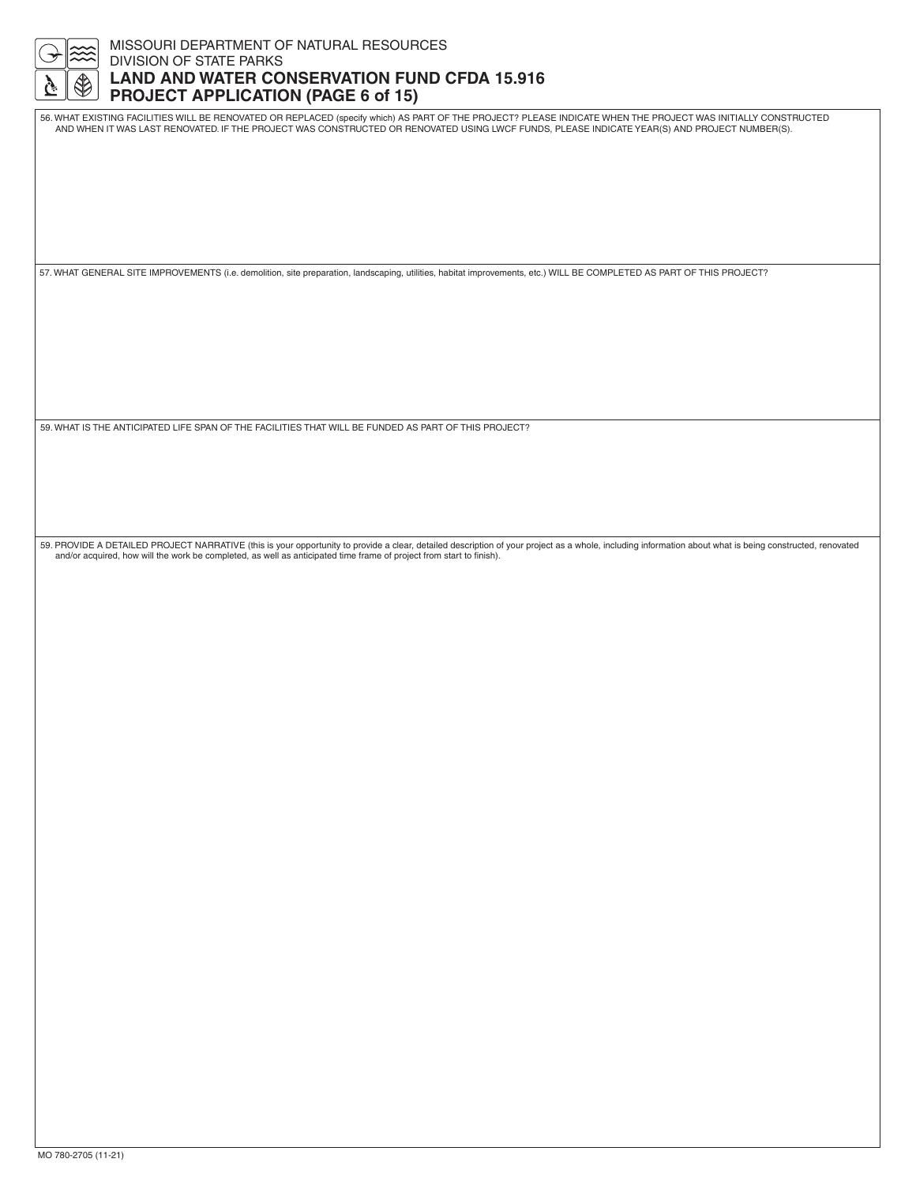

### MISSOURI DEPARTMENT OF NATURAL RESOURCES DIVISION OF STATE PARKS **LAND AND WATER CONSERVATION FUND CFDA 15.916 PROJECT APPLICATION (PAGE 6 of 15)**

56. WHAT EXISTING FACILITIES WILL BE RENOVATED OR REPLACED (specify which) AS PART OF THE PROJECT? PLEASE INDICATE WHEN THE PROJECT WAS INITIALLY CONSTRUCTED AND WHEN IT WAS LAST RENOVATED. IF THE PROJECT WAS CONSTRUCTED OR RENOVATED USING LWCF FUNDS, PLEASE INDICATE YEAR(S) AND PROJECT NUMBER(S).

57. WHAT GENERAL SITE IMPROVEMENTS (i.e. demolition, site preparation, landscaping, utilities, habitat improvements, etc.) WILL BE COMPLETED AS PART OF THIS PROJECT?

59. WHAT IS THE ANTICIPATED LIFE SPAN OF THE FACILITIES THAT WILL BE FUNDED AS PART OF THIS PROJECT?

59. PROVIDE A DETAILED PROJECT NARRATIVE (this is your opportunity to provide a clear, detailed description of your project as a whole, including information about what is being constructed, renovated and/or acquired, how will the work be completed, as well as anticipated time frame of project from start to finish).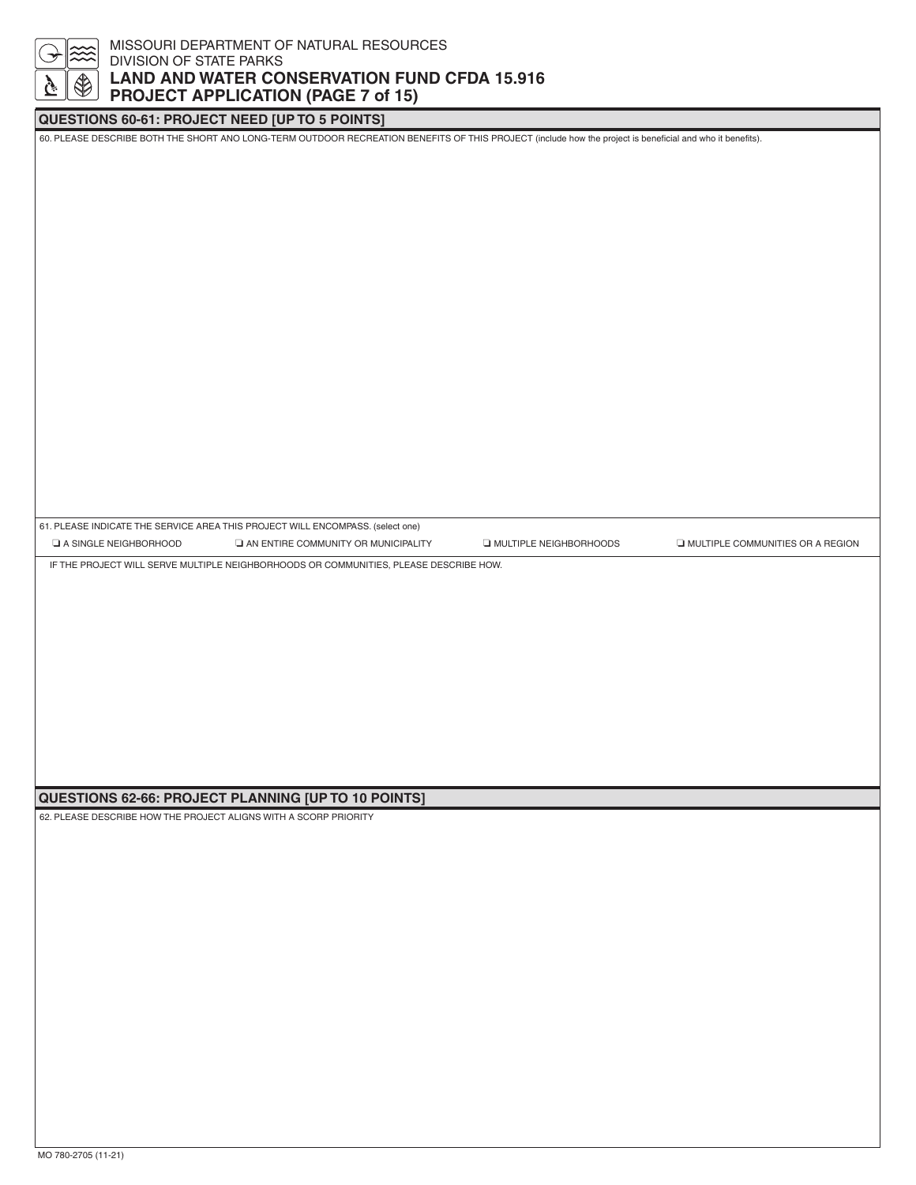## MISSOURI DEPARTMENT OF NATURAL RESOURCES DIVISION OF STATE PARKS **LAND AND WATER CONSERVATION FUND CFDA 15.916 PROJECT APPLICATION (PAGE 7 of 15)**

## **QUESTIONS 60-61: PROJECT NEED [UP TO 5 POINTS]**

60. PLEASE DESCRIBE BOTH THE SHORT ANO LONG-TERM OUTDOOR RECREATION BENEFITS OF THIS PROJECT (include how the project is beneficial and who it benefits).

61. PLEASE INDICATE THE SERVICE AREA THIS PROJECT WILL ENCOMPASS. (select one) ❏ A SINGLE NEIGHBORHOOD ❏ AN ENTIRE COMMUNITY OR MUNICIPALITY ❏ MULTIPLE NEIGHBORHOODS ❏ MULTIPLE COMMUNITIES OR A REGION

IF THE PROJECT WILL SERVE MULTIPLE NEIGHBORHOODS OR COMMUNITIES, PLEASE DESCRIBE HOW.

#### **QUESTIONS 62-66: PROJECT PLANNING [UP TO 10 POINTS]**

62. PLEASE DESCRIBE HOW THE PROJECT ALIGNS WITH A SCORP PRIORITY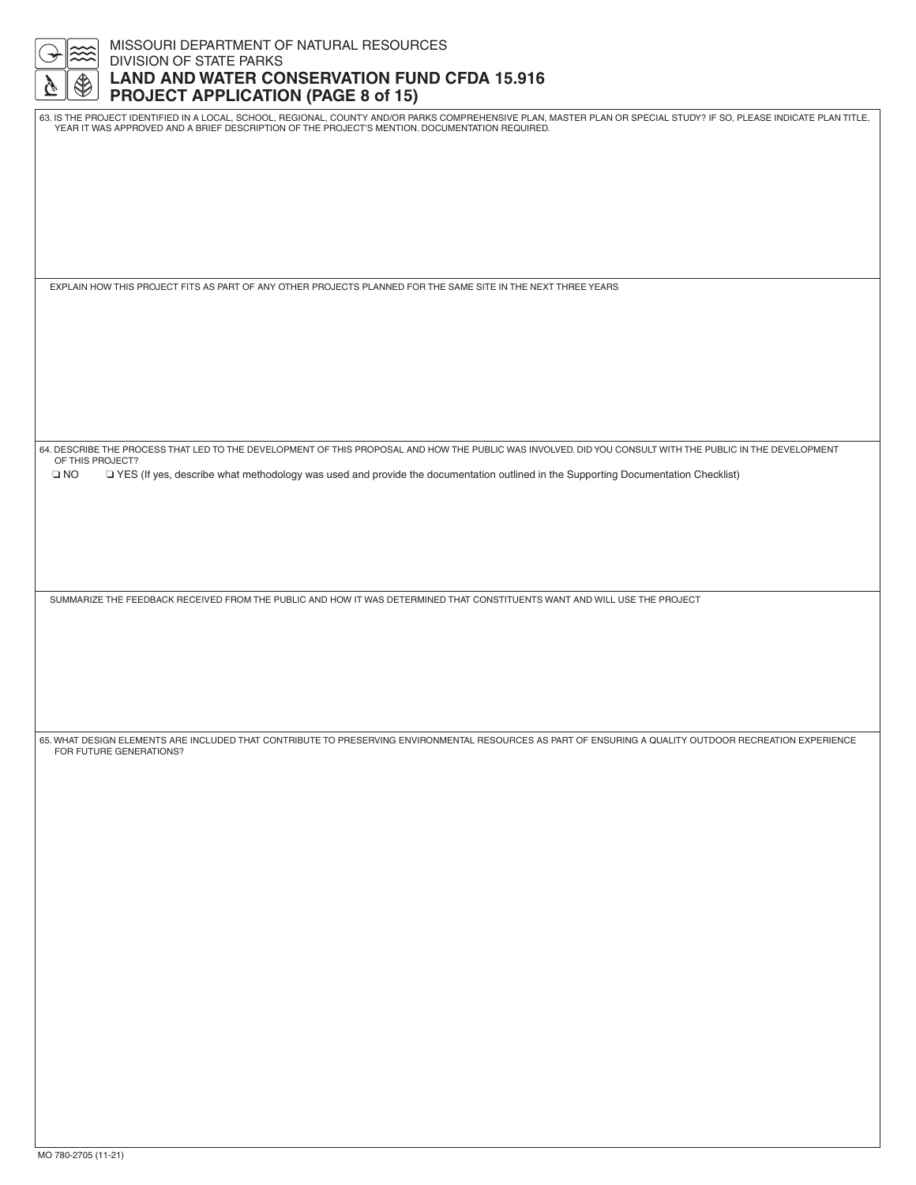|                         | MISSOURI DEPARTMENT OF NATURAL RESOURCES                                                                                                                                                                                                                               |
|-------------------------|------------------------------------------------------------------------------------------------------------------------------------------------------------------------------------------------------------------------------------------------------------------------|
|                         | DIVISION OF STATE PARKS<br><b>LAND AND WATER CONSERVATION FUND CFDA 15.916</b>                                                                                                                                                                                         |
|                         | <b>PROJECT APPLICATION (PAGE 8 of 15)</b>                                                                                                                                                                                                                              |
|                         | 63. IS THE PROJECT IDENTIFIED IN A LOCAL, SCHOOL, REGIONAL, COUNTY AND/OR PARKS COMPREHENSIVE PLAN, MASTER PLAN OR SPECIAL STUDY? IF SO, PLEASE INDICATE PLAN TITLE,<br>YEAR IT WAS APPROVED AND A BRIEF DESCRIPTION OF THE PROJECT'S MENTION, DOCUMENTATION REQUIRED. |
|                         |                                                                                                                                                                                                                                                                        |
|                         |                                                                                                                                                                                                                                                                        |
|                         |                                                                                                                                                                                                                                                                        |
|                         |                                                                                                                                                                                                                                                                        |
|                         |                                                                                                                                                                                                                                                                        |
|                         | EXPLAIN HOW THIS PROJECT FITS AS PART OF ANY OTHER PROJECTS PLANNED FOR THE SAME SITE IN THE NEXT THREE YEARS                                                                                                                                                          |
|                         |                                                                                                                                                                                                                                                                        |
|                         |                                                                                                                                                                                                                                                                        |
|                         |                                                                                                                                                                                                                                                                        |
|                         |                                                                                                                                                                                                                                                                        |
|                         |                                                                                                                                                                                                                                                                        |
|                         |                                                                                                                                                                                                                                                                        |
| OF THIS PROJECT?        | 64. DESCRIBE THE PROCESS THAT LED TO THE DEVELOPMENT OF THIS PROPOSAL AND HOW THE PUBLIC WAS INVOLVED. DID YOU CONSULT WITH THE PUBLIC IN THE DEVELOPMENT                                                                                                              |
| $\square$ NO            | TYES (If yes, describe what methodology was used and provide the documentation outlined in the Supporting Documentation Checklist)                                                                                                                                     |
|                         |                                                                                                                                                                                                                                                                        |
|                         |                                                                                                                                                                                                                                                                        |
|                         |                                                                                                                                                                                                                                                                        |
|                         |                                                                                                                                                                                                                                                                        |
|                         | SUMMARIZE THE FEEDBACK RECEIVED FROM THE PUBLIC AND HOW IT WAS DETERMINED THAT CONSTITUENTS WANT AND WILL USE THE PROJECT                                                                                                                                              |
|                         |                                                                                                                                                                                                                                                                        |
|                         |                                                                                                                                                                                                                                                                        |
|                         |                                                                                                                                                                                                                                                                        |
|                         |                                                                                                                                                                                                                                                                        |
| FOR FUTURE GENERATIONS? | 65. WHAT DESIGN ELEMENTS ARE INCLUDED THAT CONTRIBUTE TO PRESERVING ENVIRONMENTAL RESOURCES AS PART OF ENSURING A QUALITY OUTDOOR RECREATION EXPERIENCE                                                                                                                |
|                         |                                                                                                                                                                                                                                                                        |
|                         |                                                                                                                                                                                                                                                                        |
|                         |                                                                                                                                                                                                                                                                        |
|                         |                                                                                                                                                                                                                                                                        |
|                         |                                                                                                                                                                                                                                                                        |
|                         |                                                                                                                                                                                                                                                                        |
|                         |                                                                                                                                                                                                                                                                        |
|                         |                                                                                                                                                                                                                                                                        |
|                         |                                                                                                                                                                                                                                                                        |
|                         |                                                                                                                                                                                                                                                                        |
|                         |                                                                                                                                                                                                                                                                        |
|                         |                                                                                                                                                                                                                                                                        |
|                         |                                                                                                                                                                                                                                                                        |
|                         |                                                                                                                                                                                                                                                                        |
|                         |                                                                                                                                                                                                                                                                        |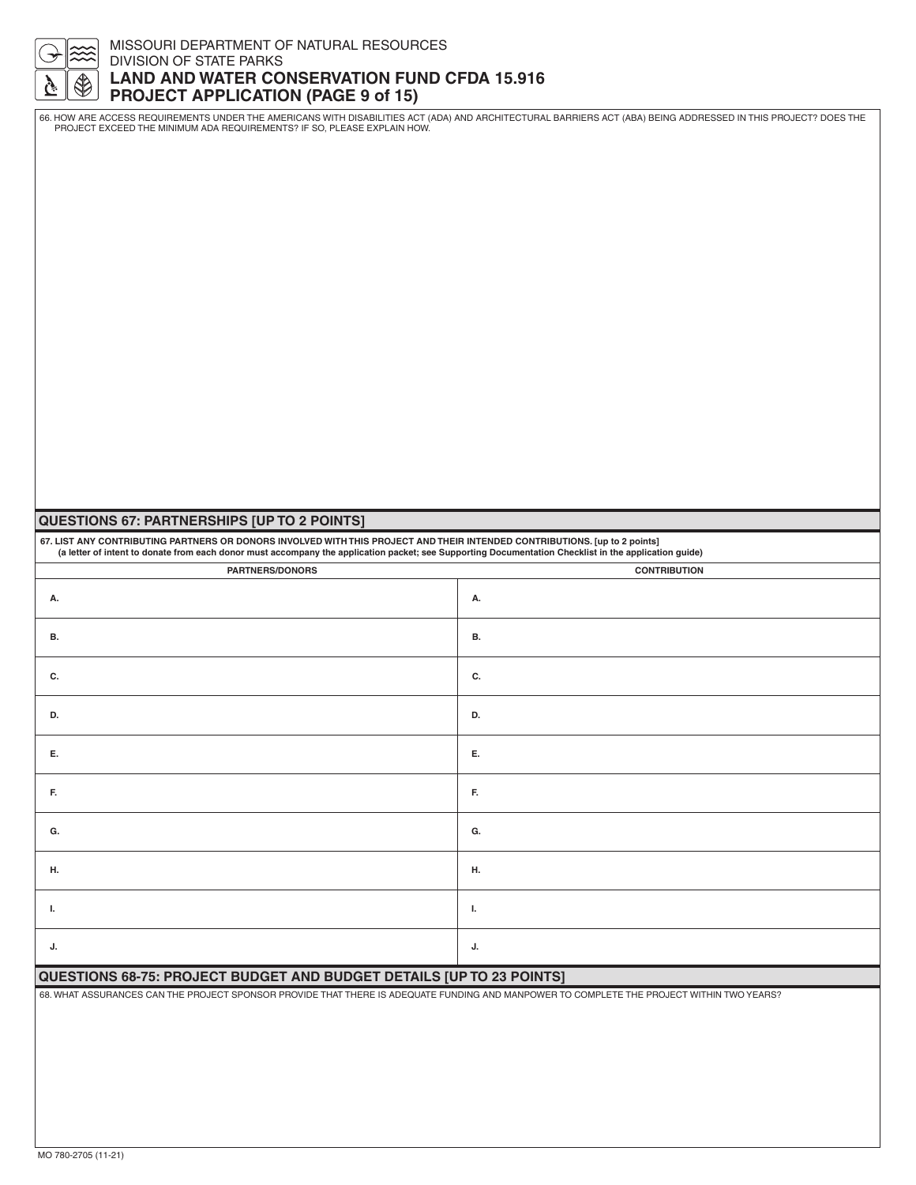#### MISSOURI DEPARTMENT OF NATURAL RESOURCES DIVISION OF STATE PARKS **LAND AND WATER CONSERVATION FUND CFDA 15.916 PROJECT APPLICATION (PAGE 9 of 15)**

66. HOW ARE ACCESS REQUIREMENTS UNDER THE AMERICANS WITH DISABILITIES ACT (ADA) AND ARCHITECTURAL BARRIERS ACT (ABA) BEING ADDRESSED IN THIS PROJECT? DOES THE<br>PROJECT EXCEED THE MINIMUM ADA REQUIREMENTS? IF SO, PLEASE EXPL

## **QUESTIONS 67: PARTNERSHIPS [UP TO 2 POINTS]**

**67. LIST ANY CONTRIBUTING PARTNERS OR DONORS INVOLVED WITH THIS PROJECT AND THEIR INTENDED CONTRIBUTIONS. [up to 2 points] (a letter of intent to donate from each donor must accompany the application packet; see Supporting Documentation Checklist in the application guide)**

| <b>PARTNERS/DONORS</b> | <b>CONTRIBUTION</b> |
|------------------------|---------------------|
| А.                     | А.                  |
| <b>B.</b>              | В.                  |
| C.                     | C.                  |
| D.                     | D.                  |
| Е.                     | Е.                  |
| F.                     | F.                  |
| G.                     | G.                  |
| Н.                     | н.                  |
| Т.                     | <b>I.</b>           |
| J.                     | J.                  |

#### **QUESTIONS 68-75: PROJECT BUDGET AND BUDGET DETAILS [UP TO 23 POINTS]**

68. WHAT ASSURANCES CAN THE PROJECT SPONSOR PROVIDE THAT THERE IS ADEQUATE FUNDING AND MANPOWER TO COMPLETE THE PROJECT WITHIN TWO YEARS?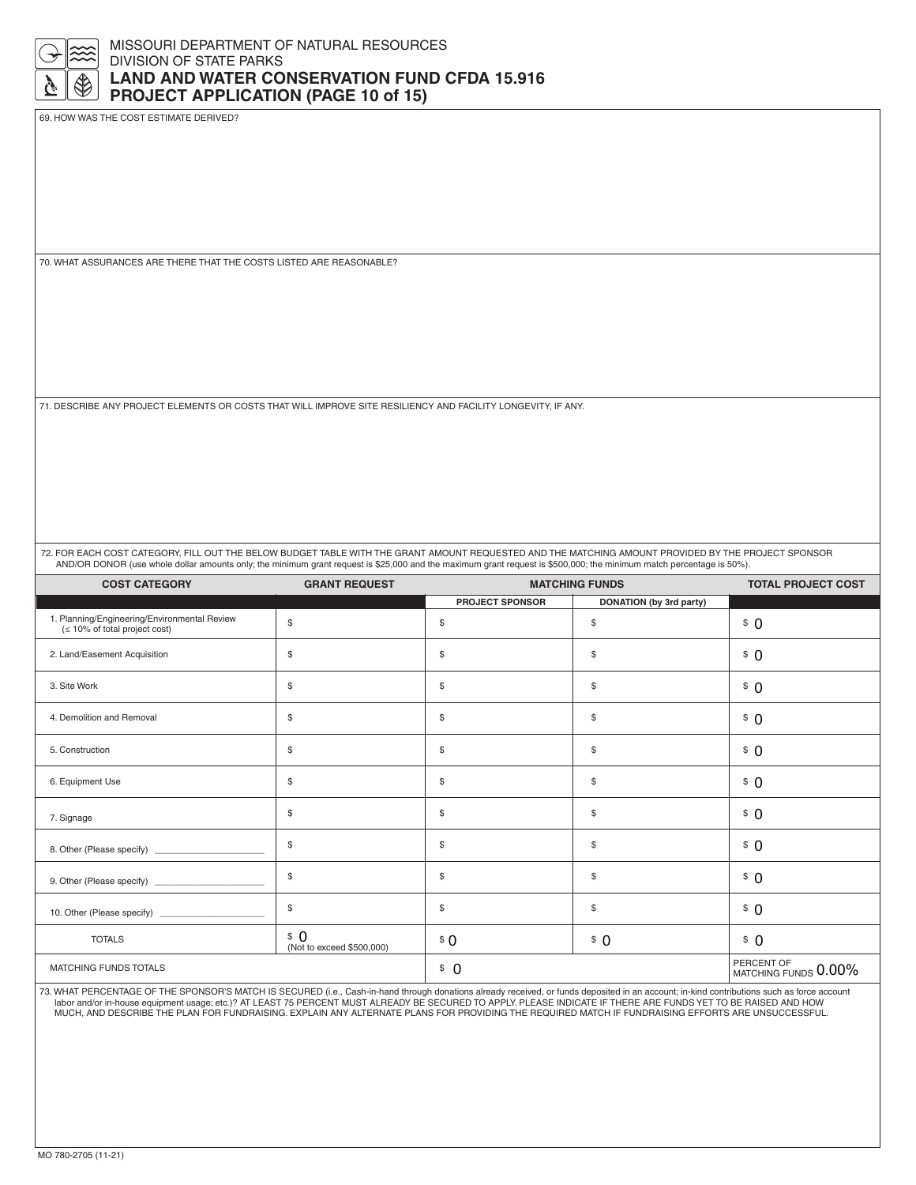

69. HOW WAS THE COST ESTIMATE DERIVED?

70. WHAT ASSURANCES ARE THERE THAT THE COSTS LISTED ARE REASONABLE?

71. DESCRIBE ANY PROJECT ELEMENTS OR COSTS THAT WILL IMPROVE SITE RESILIENCY AND FACILITY LONGEVITY, IF ANY.

72. FOR EACH COST CATEGORY, FILL OUT THE BELOW BUDGET TABLE WITH THE GRANT AMOUNT REQUESTED AND THE MATCHING AMOUNT PROVIDED BY THE PROJECT SPONSOR AND/OR DONOR (use whole dollar amounts only; the minimum grant request is \$25,000 and the maximum grant request is \$500,000; the minimum match percentage is 50%).

| <b>COST CATEGORY</b>                                                             | <b>GRANT REQUEST</b>             | <b>MATCHING FUNDS</b>  |                         | <b>TOTAL PROJECT COST</b>       |
|----------------------------------------------------------------------------------|----------------------------------|------------------------|-------------------------|---------------------------------|
|                                                                                  |                                  | <b>PROJECT SPONSOR</b> | DONATION (by 3rd party) |                                 |
| 1. Planning/Engineering/Environmental Review<br>$($ ≤ 10% of total project cost) | $\mathbb{S}$                     | \$                     | \$                      | \$0                             |
| 2. Land/Easement Acquisition                                                     | \$                               | \$                     | \$                      | \$0                             |
| 3. Site Work                                                                     | \$                               | \$                     | \$                      | \$0                             |
| 4. Demolition and Removal                                                        | \$                               | \$                     | \$                      | \$0                             |
| 5. Construction                                                                  | \$                               | \$                     | \$                      | \$0                             |
| 6. Equipment Use                                                                 | \$                               | \$                     | \$                      | \$0                             |
| 7. Signage                                                                       | \$                               | \$                     | \$                      | \$0                             |
|                                                                                  | \$                               | \$                     | \$                      | \$0                             |
|                                                                                  | \$                               | \$                     | \$                      | \$0                             |
|                                                                                  | \$                               | \$                     | \$                      | \$0                             |
| <b>TOTALS</b>                                                                    | \$0<br>(Not to exceed \$500,000) | \$0                    | \$0                     | \$0                             |
| MATCHING FUNDS TOTALS                                                            |                                  | \$0                    |                         | PERCENT OF MATCHING FUNDS 0.00% |

73. WHAT PERCENTAGE OF THE SPONSOR'S MATCH IS SECURED (i.e., Cash-in-hand through donations already received, or funds deposited in an account; in-kind contributions such as force account<br>labor and/or in-house equipment us MUCH, AND DESCRIBE THE PLAN FOR FUNDRAISING. EXPLAIN ANY ALTERNATE PLANS FOR PROVIDING THE REQUIRED MATCH IF FUNDRAISING EFFORTS ARE UNSUCCESSFUL.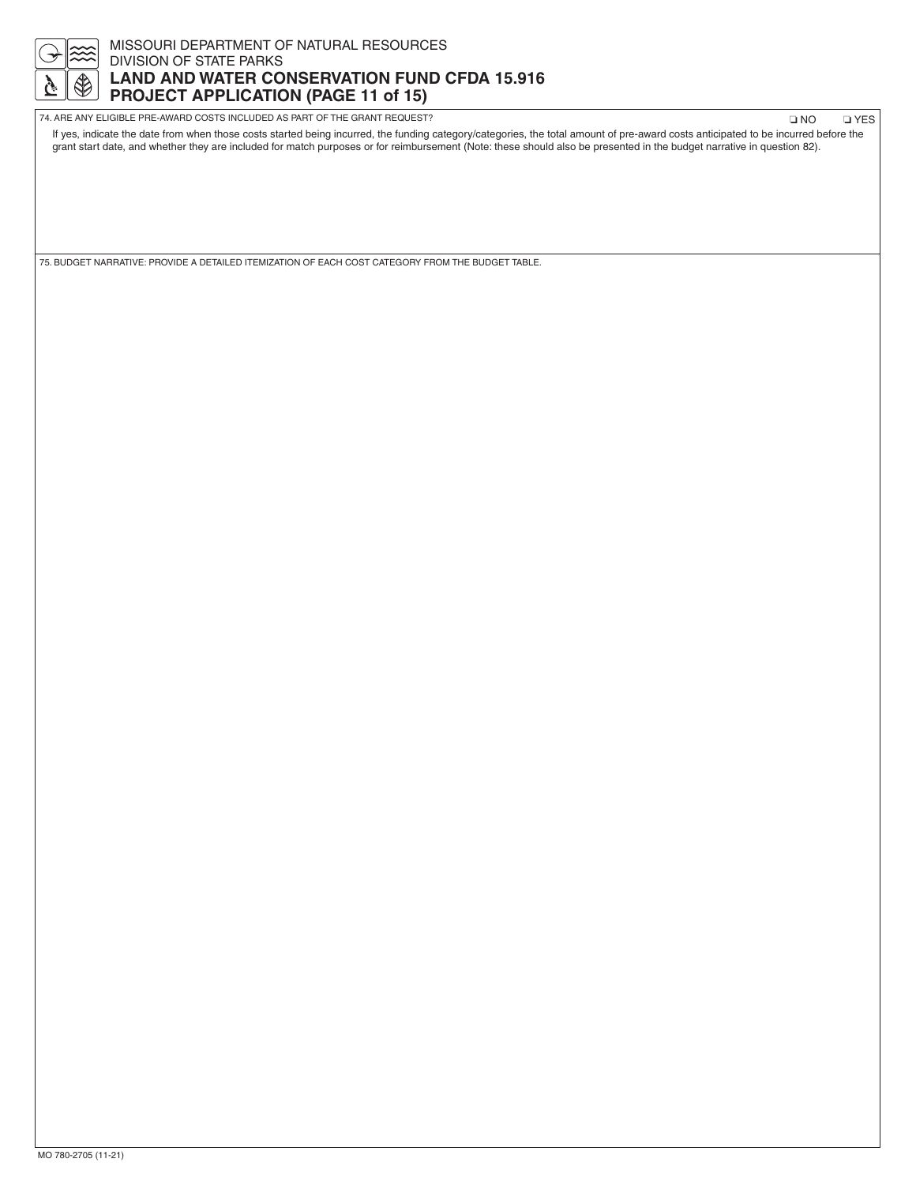

## MISSOURI DEPARTMENT OF NATURAL RESOURCES DIVISION OF STATE PARKS **LAND AND WATER CONSERVATION FUND CFDA 15.916 PROJECT APPLICATION (PAGE 11 of 15)**

| 74. ARE ANY ELIGIBLE PRE-AWARD COSTS INCLUDED AS PART OF THE GRANT REQUEST?                                                                                                        | ON L | <b>O</b> YES |
|------------------------------------------------------------------------------------------------------------------------------------------------------------------------------------|------|--------------|
| If yes, indicate the date from when those costs started being incurred, the funding category/categories, the total amount of pre-award costs anticipated to be incurred before the |      |              |
| grant start date, and whether they are included for match purposes or for reimbursement (Note: these should also be presented in the budget narrative in question 82).             |      |              |

75. BUDGET NARRATIVE: PROVIDE A DETAILED ITEMIZATION OF EACH COST CATEGORY FROM THE BUDGET TABLE.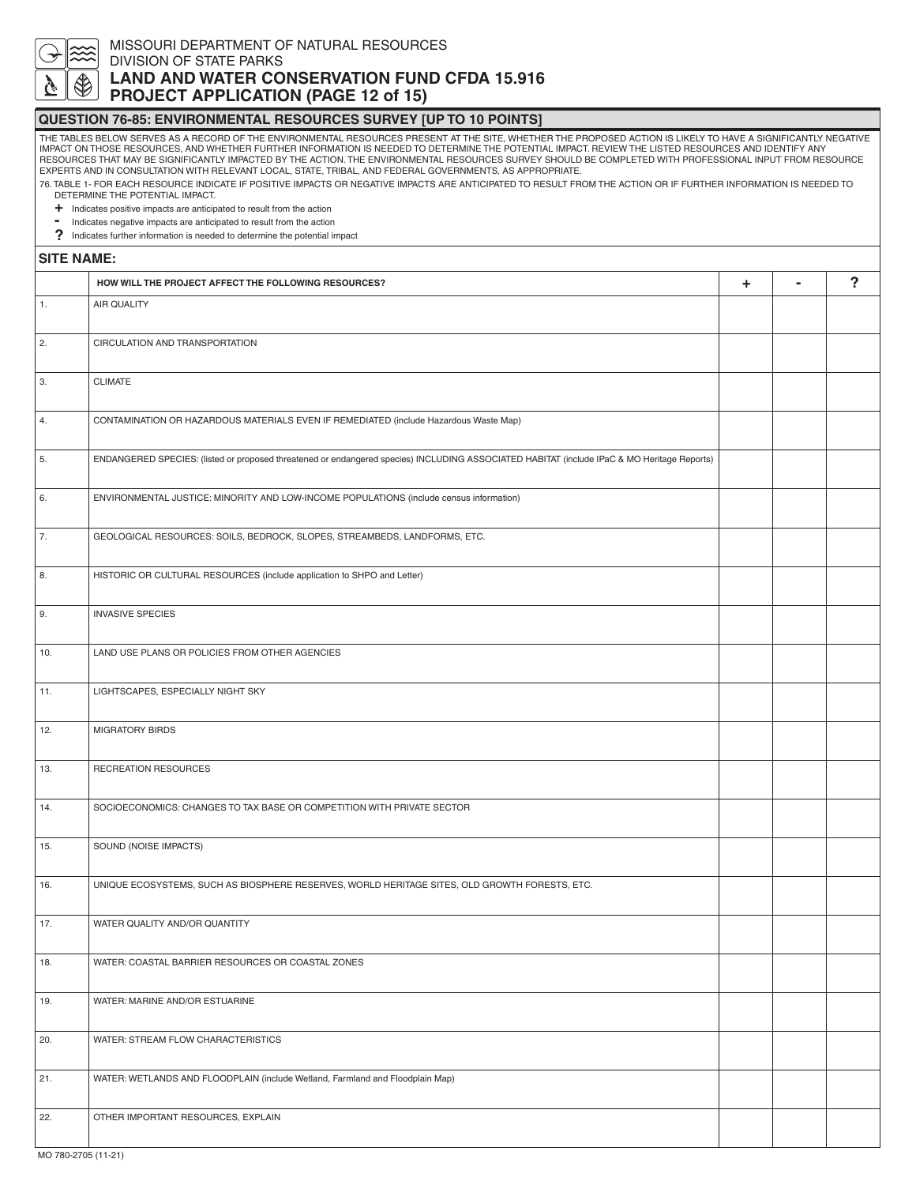

# MISSOURI DEPARTMENT OF NATURAL RESOURCES

DIVISION OF STATE PARKS

## **LAND AND WATER CONSERVATION FUND CFDA 15.916 PROJECT APPLICATION (PAGE 12 of 15)**

#### **QUESTION 76-85: ENVIRONMENTAL RESOURCES SURVEY [UP TO 10 POINTS]**

THE TABLES BELOW SERVES AS A RECORD OF THE ENVIRONMENTAL RESOURCES PRESENT AT THE SITE, WHETHER THE PROPOSED ACTION IS LIKELY TO HAVE A SIGNIFICANTLY NEGATIVE IMPACT ON THOSE RESOURCES, AND WHETHER FURTHER INFORMATION IS NEEDED TO DETERMINE THE POTENTIAL IMPACT. REVIEW THE LISTED RESOURCES AND IDENTIFY ANY<br>RESOURCES THAT MAY BE SIGNIFICANTLY IMPACTED BY THE ACTION. THE ENVIRONME EXPERTS AND IN CONSULTATION WITH RELEVANT LOCAL, STATE, TRIBAL, AND FEDERAL GOVERNMENTS, AS APPROPRIATE.

76. TABLE 1- FOR EACH RESOURCE INDICATE IF POSITIVE IMPACTS OR NEGATIVE IMPACTS ARE ANTICIPATED TO RESULT FROM THE ACTION OR IF FURTHER INFORMATION IS NEEDED TO DETERMINE THE POTENTIAL IMPACT.

- 
- **+** Indicates positive impacts are anticipated to result from the action **-** Indicates negative impacts are anticipated to result from the action
- 
- **?** Indicates further information is needed to determine the potential impact

#### **SITE NAME:**

|                     | HOW WILL THE PROJECT AFFECT THE FOLLOWING RESOURCES?                                                                                        | ٠ | $\blacksquare$ | $\overline{?}$ |
|---------------------|---------------------------------------------------------------------------------------------------------------------------------------------|---|----------------|----------------|
| 1.                  | <b>AIR QUALITY</b>                                                                                                                          |   |                |                |
| 2.                  | CIRCULATION AND TRANSPORTATION                                                                                                              |   |                |                |
| 3.                  | CLIMATE                                                                                                                                     |   |                |                |
| 4.                  | CONTAMINATION OR HAZARDOUS MATERIALS EVEN IF REMEDIATED (include Hazardous Waste Map)                                                       |   |                |                |
| 5.                  | ENDANGERED SPECIES: (listed or proposed threatened or endangered species) INCLUDING ASSOCIATED HABITAT (include IPaC & MO Heritage Reports) |   |                |                |
| 6.                  | ENVIRONMENTAL JUSTICE: MINORITY AND LOW-INCOME POPULATIONS (include census information)                                                     |   |                |                |
| 7.                  | GEOLOGICAL RESOURCES: SOILS, BEDROCK, SLOPES, STREAMBEDS, LANDFORMS, ETC.                                                                   |   |                |                |
| 8.                  | HISTORIC OR CULTURAL RESOURCES (include application to SHPO and Letter)                                                                     |   |                |                |
| 9.                  | <b>INVASIVE SPECIES</b>                                                                                                                     |   |                |                |
|                     |                                                                                                                                             |   |                |                |
| 10.                 | LAND USE PLANS OR POLICIES FROM OTHER AGENCIES                                                                                              |   |                |                |
| 11.                 | LIGHTSCAPES, ESPECIALLY NIGHT SKY                                                                                                           |   |                |                |
| 12.                 | <b>MIGRATORY BIRDS</b>                                                                                                                      |   |                |                |
| 13.                 | RECREATION RESOURCES                                                                                                                        |   |                |                |
| 14.                 | SOCIOECONOMICS: CHANGES TO TAX BASE OR COMPETITION WITH PRIVATE SECTOR                                                                      |   |                |                |
| 15.                 | SOUND (NOISE IMPACTS)                                                                                                                       |   |                |                |
| 16.                 | UNIQUE ECOSYSTEMS, SUCH AS BIOSPHERE RESERVES, WORLD HERITAGE SITES, OLD GROWTH FORESTS, ETC.                                               |   |                |                |
| 17.                 | WATER QUALITY AND/OR QUANTITY                                                                                                               |   |                |                |
| 18.                 | WATER: COASTAL BARRIER RESOURCES OR COASTAL ZONES                                                                                           |   |                |                |
| 19.                 | WATER: MARINE AND/OR ESTUARINE                                                                                                              |   |                |                |
| 20.                 | WATER: STREAM FLOW CHARACTERISTICS                                                                                                          |   |                |                |
|                     |                                                                                                                                             |   |                |                |
| 21.                 | WATER: WETLANDS AND FLOODPLAIN (include Wetland, Farmland and Floodplain Map)                                                               |   |                |                |
| 22.                 | OTHER IMPORTANT RESOURCES, EXPLAIN                                                                                                          |   |                |                |
| MO 780-2705 (11-21) |                                                                                                                                             |   |                |                |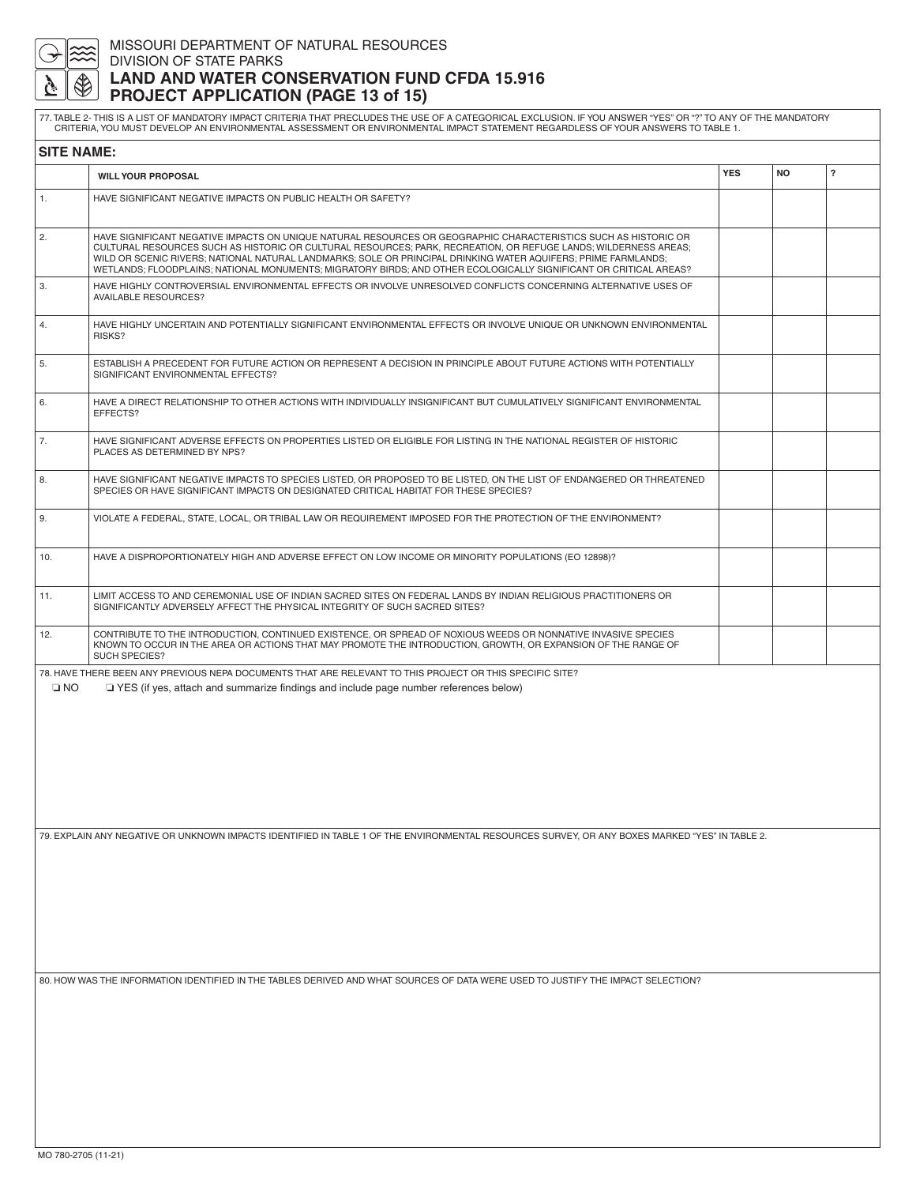

## MISSOURI DEPARTMENT OF NATURAL RESOURCES DIVISION OF STATE PARKS **LAND AND WATER CONSERVATION FUND CFDA 15.916 PROJECT APPLICATION (PAGE 13 of 15)**

77. TABLE 2- THIS IS A LIST OF MANDATORY IMPACT CRITERIA THAT PRECLUDES THE USE OF A CATEGORICAL EXCLUSION. IF YOU ANSWER "YES" OR "?" TO ANY OF THE MANDATORY<br>CRITERIA, YOU MUST DEVELOP AN ENVIRONMENTAL ASSESSMENT OR ENVIR

| <b>SITE NAME:</b> |                                                                                                                                                                                                                                                                                                                                                                                                                                                                           |            |           |                         |
|-------------------|---------------------------------------------------------------------------------------------------------------------------------------------------------------------------------------------------------------------------------------------------------------------------------------------------------------------------------------------------------------------------------------------------------------------------------------------------------------------------|------------|-----------|-------------------------|
|                   | <b>WILL YOUR PROPOSAL</b>                                                                                                                                                                                                                                                                                                                                                                                                                                                 | <b>YES</b> | <b>NO</b> | $\overline{\mathbf{?}}$ |
| 1.                | HAVE SIGNIFICANT NEGATIVE IMPACTS ON PUBLIC HEALTH OR SAFETY?                                                                                                                                                                                                                                                                                                                                                                                                             |            |           |                         |
| 2.                | HAVE SIGNIFICANT NEGATIVE IMPACTS ON UNIQUE NATURAL RESOURCES OR GEOGRAPHIC CHARACTERISTICS SUCH AS HISTORIC OR<br>CULTURAL RESOURCES SUCH AS HISTORIC OR CULTURAL RESOURCES; PARK, RECREATION, OR REFUGE LANDS; WILDERNESS AREAS;<br>WILD OR SCENIC RIVERS; NATIONAL NATURAL LANDMARKS; SOLE OR PRINCIPAL DRINKING WATER AQUIFERS; PRIME FARMLANDS;<br>WETLANDS; FLOODPLAINS; NATIONAL MONUMENTS; MIGRATORY BIRDS; AND OTHER ECOLOGICALLY SIGNIFICANT OR CRITICAL AREAS? |            |           |                         |
| 3.                | HAVE HIGHLY CONTROVERSIAL ENVIRONMENTAL EFFECTS OR INVOLVE UNRESOLVED CONFLICTS CONCERNING ALTERNATIVE USES OF<br>AVAILABLE RESOURCES?                                                                                                                                                                                                                                                                                                                                    |            |           |                         |
| 4.                | HAVE HIGHLY UNCERTAIN AND POTENTIALLY SIGNIFICANT ENVIRONMENTAL EFFECTS OR INVOLVE UNIQUE OR UNKNOWN ENVIRONMENTAL<br>RISKS?                                                                                                                                                                                                                                                                                                                                              |            |           |                         |
| 5.                | ESTABLISH A PRECEDENT FOR FUTURE ACTION OR REPRESENT A DECISION IN PRINCIPLE ABOUT FUTURE ACTIONS WITH POTENTIALLY<br>SIGNIFICANT ENVIRONMENTAL EFFECTS?                                                                                                                                                                                                                                                                                                                  |            |           |                         |
| 6.                | HAVE A DIRECT RELATIONSHIP TO OTHER ACTIONS WITH INDIVIDUALLY INSIGNIFICANT BUT CUMULATIVELY SIGNIFICANT ENVIRONMENTAL<br>EFFECTS?                                                                                                                                                                                                                                                                                                                                        |            |           |                         |
| 7.                | HAVE SIGNIFICANT ADVERSE EFFECTS ON PROPERTIES LISTED OR ELIGIBLE FOR LISTING IN THE NATIONAL REGISTER OF HISTORIC<br>PLACES AS DETERMINED BY NPS?                                                                                                                                                                                                                                                                                                                        |            |           |                         |
| 8.                | HAVE SIGNIFICANT NEGATIVE IMPACTS TO SPECIES LISTED, OR PROPOSED TO BE LISTED, ON THE LIST OF ENDANGERED OR THREATENED<br>SPECIES OR HAVE SIGNIFICANT IMPACTS ON DESIGNATED CRITICAL HABITAT FOR THESE SPECIES?                                                                                                                                                                                                                                                           |            |           |                         |
| 9.                | VIOLATE A FEDERAL, STATE, LOCAL, OR TRIBAL LAW OR REQUIREMENT IMPOSED FOR THE PROTECTION OF THE ENVIRONMENT?                                                                                                                                                                                                                                                                                                                                                              |            |           |                         |
| 10.               | HAVE A DISPROPORTIONATELY HIGH AND ADVERSE EFFECT ON LOW INCOME OR MINORITY POPULATIONS (EO 12898)?                                                                                                                                                                                                                                                                                                                                                                       |            |           |                         |
| 11.               | LIMIT ACCESS TO AND CEREMONIAL USE OF INDIAN SACRED SITES ON FEDERAL LANDS BY INDIAN RELIGIOUS PRACTITIONERS OR<br>SIGNIFICANTLY ADVERSELY AFFECT THE PHYSICAL INTEGRITY OF SUCH SACRED SITES?                                                                                                                                                                                                                                                                            |            |           |                         |
| 12.               | CONTRIBUTE TO THE INTRODUCTION, CONTINUED EXISTENCE, OR SPREAD OF NOXIOUS WEEDS OR NONNATIVE INVASIVE SPECIES<br>KNOWN TO OCCUR IN THE AREA OR ACTIONS THAT MAY PROMOTE THE INTRODUCTION, GROWTH, OR EXPANSION OF THE RANGE OF<br>SUCH SPECIES?                                                                                                                                                                                                                           |            |           |                         |
| $\square$ NO      | 78. HAVE THERE BEEN ANY PREVIOUS NEPA DOCUMENTS THAT ARE RELEVANT TO THIS PROJECT OR THIS SPECIFIC SITE?<br>□ YES (if yes, attach and summarize findings and include page number references below)                                                                                                                                                                                                                                                                        |            |           |                         |
|                   |                                                                                                                                                                                                                                                                                                                                                                                                                                                                           |            |           |                         |
|                   |                                                                                                                                                                                                                                                                                                                                                                                                                                                                           |            |           |                         |
|                   |                                                                                                                                                                                                                                                                                                                                                                                                                                                                           |            |           |                         |
|                   | 79. EXPLAIN ANY NEGATIVE OR UNKNOWN IMPACTS IDENTIFIED IN TABLE 1 OF THE ENVIRONMENTAL RESOURCES SURVEY, OR ANY BOXES MARKED "YES" IN TABLE 2.                                                                                                                                                                                                                                                                                                                            |            |           |                         |
|                   |                                                                                                                                                                                                                                                                                                                                                                                                                                                                           |            |           |                         |
|                   |                                                                                                                                                                                                                                                                                                                                                                                                                                                                           |            |           |                         |
|                   |                                                                                                                                                                                                                                                                                                                                                                                                                                                                           |            |           |                         |
|                   | 80. HOW WAS THE INFORMATION IDENTIFIED IN THE TABLES DERIVED AND WHAT SOURCES OF DATA WERE USED TO JUSTIFY THE IMPACT SELECTION?                                                                                                                                                                                                                                                                                                                                          |            |           |                         |
|                   |                                                                                                                                                                                                                                                                                                                                                                                                                                                                           |            |           |                         |
|                   |                                                                                                                                                                                                                                                                                                                                                                                                                                                                           |            |           |                         |
|                   |                                                                                                                                                                                                                                                                                                                                                                                                                                                                           |            |           |                         |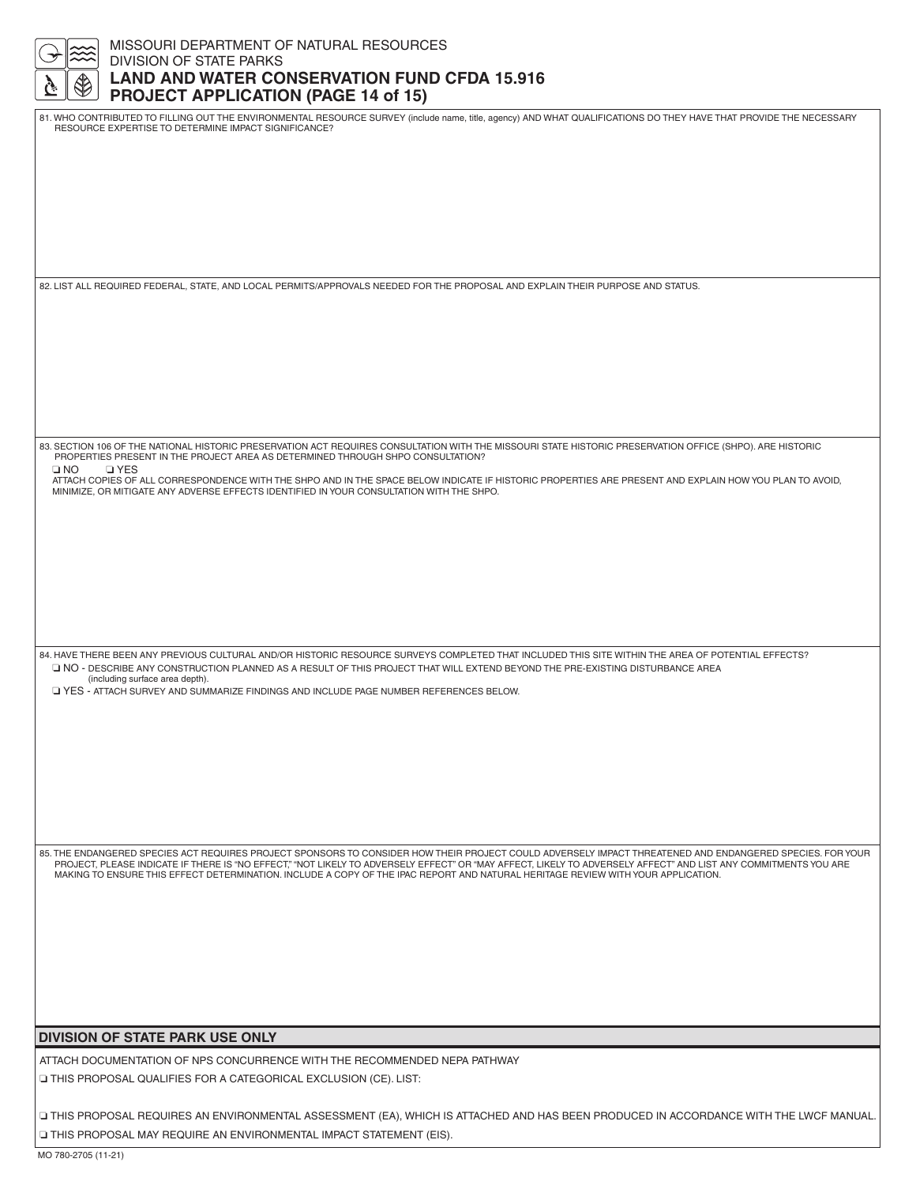| MISSOURI DEPARTMENT OF NATURAL RESOURCES<br><b>DIVISION OF STATE PARKS</b>                                                                                                                                                                                                                                                                                                                                                                                       |
|------------------------------------------------------------------------------------------------------------------------------------------------------------------------------------------------------------------------------------------------------------------------------------------------------------------------------------------------------------------------------------------------------------------------------------------------------------------|
| <b>LAND AND WATER CONSERVATION FUND CFDA 15.916</b><br><b>PROJECT APPLICATION (PAGE 14 of 15)</b>                                                                                                                                                                                                                                                                                                                                                                |
| 81. WHO CONTRIBUTED TO FILLING OUT THE ENVIRONMENTAL RESOURCE SURVEY (include name, title, agency) AND WHAT QUALIFICATIONS DO THEY HAVE THAT PROVIDE THE NECESSARY<br>RESOURCE EXPERTISE TO DETERMINE IMPACT SIGNIFICANCE?                                                                                                                                                                                                                                       |
|                                                                                                                                                                                                                                                                                                                                                                                                                                                                  |
|                                                                                                                                                                                                                                                                                                                                                                                                                                                                  |
|                                                                                                                                                                                                                                                                                                                                                                                                                                                                  |
| 82. LIST ALL REQUIRED FEDERAL, STATE, AND LOCAL PERMITS/APPROVALS NEEDED FOR THE PROPOSAL AND EXPLAIN THEIR PURPOSE AND STATUS.                                                                                                                                                                                                                                                                                                                                  |
|                                                                                                                                                                                                                                                                                                                                                                                                                                                                  |
|                                                                                                                                                                                                                                                                                                                                                                                                                                                                  |
|                                                                                                                                                                                                                                                                                                                                                                                                                                                                  |
|                                                                                                                                                                                                                                                                                                                                                                                                                                                                  |
| 83. SECTION 106 OF THE NATIONAL HISTORIC PRESERVATION ACT REQUIRES CONSULTATION WITH THE MISSOURI STATE HISTORIC PRESERVATION OFFICE (SHPO). ARE HISTORIC<br>PROPERTIES PRESENT IN THE PROJECT AREA AS DETERMINED THROUGH SHPO CONSULTATION?<br>$\square$ NO<br><b>D</b> YES                                                                                                                                                                                     |
| ATTACH COPIES OF ALL CORRESPONDENCE WITH THE SHPO AND IN THE SPACE BELOW INDICATE IF HISTORIC PROPERTIES ARE PRESENT AND EXPLAIN HOW YOU PLAN TO AVOID,<br>MINIMIZE, OR MITIGATE ANY ADVERSE EFFECTS IDENTIFIED IN YOUR CONSULTATION WITH THE SHPO.                                                                                                                                                                                                              |
|                                                                                                                                                                                                                                                                                                                                                                                                                                                                  |
|                                                                                                                                                                                                                                                                                                                                                                                                                                                                  |
|                                                                                                                                                                                                                                                                                                                                                                                                                                                                  |
| 84. HAVE THERE BEEN ANY PREVIOUS CULTURAL AND/OR HISTORIC RESOURCE SURVEYS COMPLETED THAT INCLUDED THIS SITE WITHIN THE AREA OF POTENTIAL EFFECTS?                                                                                                                                                                                                                                                                                                               |
| NO - DESCRIBE ANY CONSTRUCTION PLANNED AS A RESULT OF THIS PROJECT THAT WILL EXTEND BEYOND THE PRE-EXISTING DISTURBANCE AREA<br>(including surface area depth).<br>T YES - ATTACH SURVEY AND SUMMARIZE FINDINGS AND INCLUDE PAGE NUMBER REFERENCES BELOW.                                                                                                                                                                                                        |
|                                                                                                                                                                                                                                                                                                                                                                                                                                                                  |
|                                                                                                                                                                                                                                                                                                                                                                                                                                                                  |
|                                                                                                                                                                                                                                                                                                                                                                                                                                                                  |
|                                                                                                                                                                                                                                                                                                                                                                                                                                                                  |
| 85. THE ENDANGERED SPECIES ACT REQUIRES PROJECT SPONSORS TO CONSIDER HOW THEIR PROJECT COULD ADVERSELY IMPACT THREATENED AND ENDANGERED SPECIES. FOR YOUR<br>PROJECT, PLEASE INDICATE IF THERE IS "NO EFFECT," "NOT LIKELY TO ADVERSELY EFFECT" OR "MAY AFFECT, LIKELY TO ADVERSELY AFFECT" AND LIST ANY COMMITMENTS YOU ARE<br>MAKING TO ENSURE THIS EFFECT DETERMINATION. INCLUDE A COPY OF THE IPAC REPORT AND NATURAL HERITAGE REVIEW WITH YOUR APPLICATION. |
|                                                                                                                                                                                                                                                                                                                                                                                                                                                                  |
|                                                                                                                                                                                                                                                                                                                                                                                                                                                                  |
|                                                                                                                                                                                                                                                                                                                                                                                                                                                                  |
| <b>DIVISION OF STATE PARK USE ONLY</b>                                                                                                                                                                                                                                                                                                                                                                                                                           |
| ATTACH DOCUMENTATION OF NPS CONCURRENCE WITH THE RECOMMENDED NEPA PATHWAY                                                                                                                                                                                                                                                                                                                                                                                        |
| □ THIS PROPOSAL QUALIFIES FOR A CATEGORICAL EXCLUSION (CE). LIST:                                                                                                                                                                                                                                                                                                                                                                                                |
| ITHIS PROPOSAL REQUIRES AN ENVIRONMENTAL ASSESSMENT (EA), WHICH IS ATTACHED AND HAS BEEN PRODUCED IN ACCORDANCE WITH THE LWCF MANUAL.                                                                                                                                                                                                                                                                                                                            |

❏ THIS PROPOSAL MAY REQUIRE AN ENVIRONMENTAL IMPACT STATEMENT (EIS).